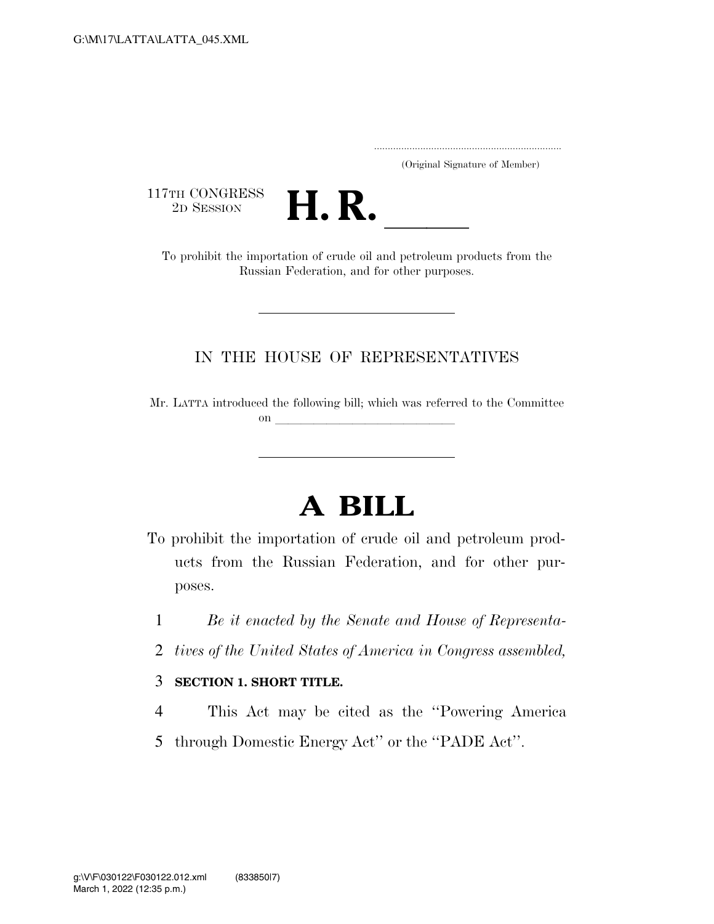..................................................................... (Original Signature of Member)

117TH CONGRESS<br>2D SESSION



TTH CONGRESS<br>
2D SESSION<br>
To prohibit the importation of crude oil and petroleum products from the Russian Federation, and for other purposes.

### IN THE HOUSE OF REPRESENTATIVES

Mr. LATTA introduced the following bill; which was referred to the Committee on  $\mathcal{L}$ 

# **A BILL**

- To prohibit the importation of crude oil and petroleum products from the Russian Federation, and for other purposes.
	- 1 *Be it enacted by the Senate and House of Representa-*
	- 2 *tives of the United States of America in Congress assembled,*

### 3 **SECTION 1. SHORT TITLE.**

- 4 This Act may be cited as the ''Powering America
- 5 through Domestic Energy Act'' or the ''PADE Act''.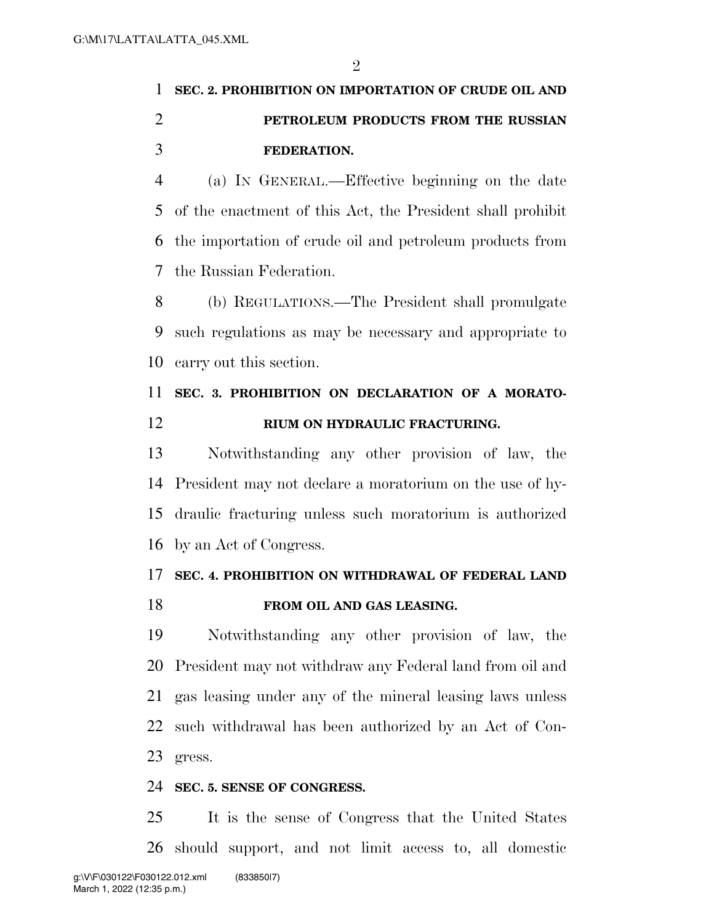$\mathfrak{D}$ 

# **SEC. 2. PROHIBITION ON IMPORTATION OF CRUDE OIL AND PETROLEUM PRODUCTS FROM THE RUSSIAN FEDERATION.**

 (a) IN GENERAL.—Effective beginning on the date of the enactment of this Act, the President shall prohibit the importation of crude oil and petroleum products from the Russian Federation.

 (b) REGULATIONS.—The President shall promulgate such regulations as may be necessary and appropriate to carry out this section.

## **SEC. 3. PROHIBITION ON DECLARATION OF A MORATO-RIUM ON HYDRAULIC FRACTURING.**

 Notwithstanding any other provision of law, the President may not declare a moratorium on the use of hy- draulic fracturing unless such moratorium is authorized by an Act of Congress.

### **SEC. 4. PROHIBITION ON WITHDRAWAL OF FEDERAL LAND FROM OIL AND GAS LEASING.**

 Notwithstanding any other provision of law, the President may not withdraw any Federal land from oil and gas leasing under any of the mineral leasing laws unless such withdrawal has been authorized by an Act of Con-gress.

#### **SEC. 5. SENSE OF CONGRESS.**

 It is the sense of Congress that the United States should support, and not limit access to, all domestic